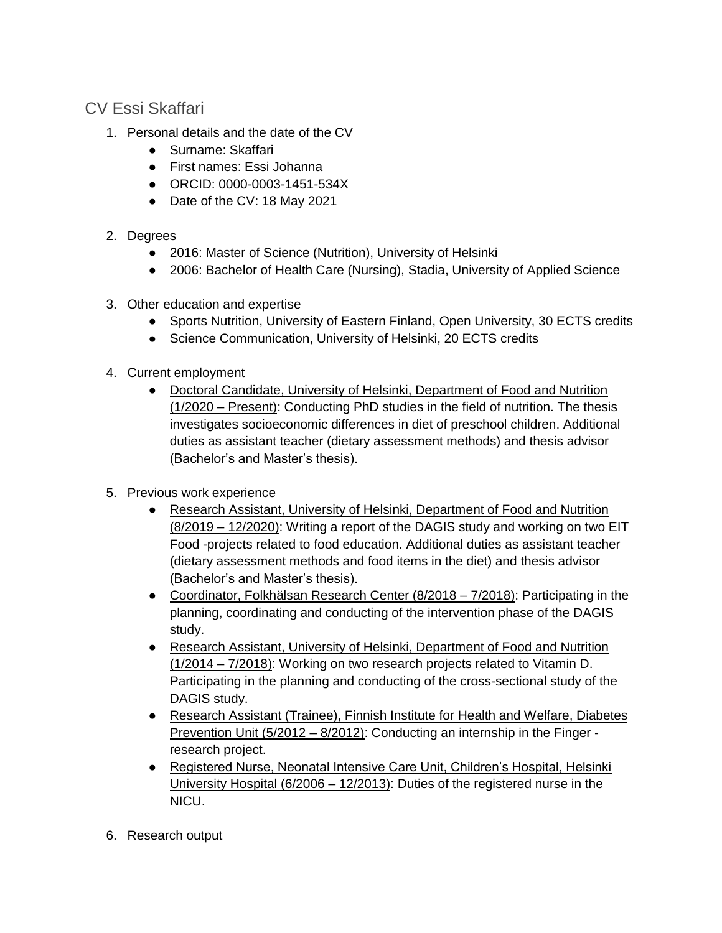## CV Essi Skaffari

- 1. Personal details and the date of the CV
	- Surname: Skaffari
	- First names: Essi Johanna
	- ORCID: 0000-0003-1451-534X
	- Date of the CV: 18 May 2021
- 2. Degrees
	- 2016: Master of Science (Nutrition), University of Helsinki
	- 2006: Bachelor of Health Care (Nursing), Stadia, University of Applied Science
- 3. Other education and expertise
	- Sports Nutrition, University of Eastern Finland, Open University, 30 ECTS credits
	- Science Communication, University of Helsinki, 20 ECTS credits
- 4. Current employment
	- Doctoral Candidate, University of Helsinki, Department of Food and Nutrition (1/2020 – Present): Conducting PhD studies in the field of nutrition. The thesis investigates socioeconomic differences in diet of preschool children. Additional duties as assistant teacher (dietary assessment methods) and thesis advisor (Bachelor's and Master's thesis).
- 5. Previous work experience
	- Research Assistant, University of Helsinki, Department of Food and Nutrition (8/2019 – 12/2020): Writing a report of the DAGIS study and working on two EIT Food -projects related to food education. Additional duties as assistant teacher (dietary assessment methods and food items in the diet) and thesis advisor (Bachelor's and Master's thesis).
	- Coordinator, Folkhälsan Research Center (8/2018 7/2018): Participating in the planning, coordinating and conducting of the intervention phase of the DAGIS study.
	- Research Assistant, University of Helsinki, Department of Food and Nutrition (1/2014 – 7/2018): Working on two research projects related to Vitamin D. Participating in the planning and conducting of the cross-sectional study of the DAGIS study.
	- Research Assistant (Trainee), Finnish Institute for Health and Welfare, Diabetes Prevention Unit (5/2012 – 8/2012): Conducting an internship in the Finger research project.
	- Registered Nurse, Neonatal Intensive Care Unit, Children's Hospital, Helsinki University Hospital (6/2006 – 12/2013): Duties of the registered nurse in the NICU.
- 6. Research output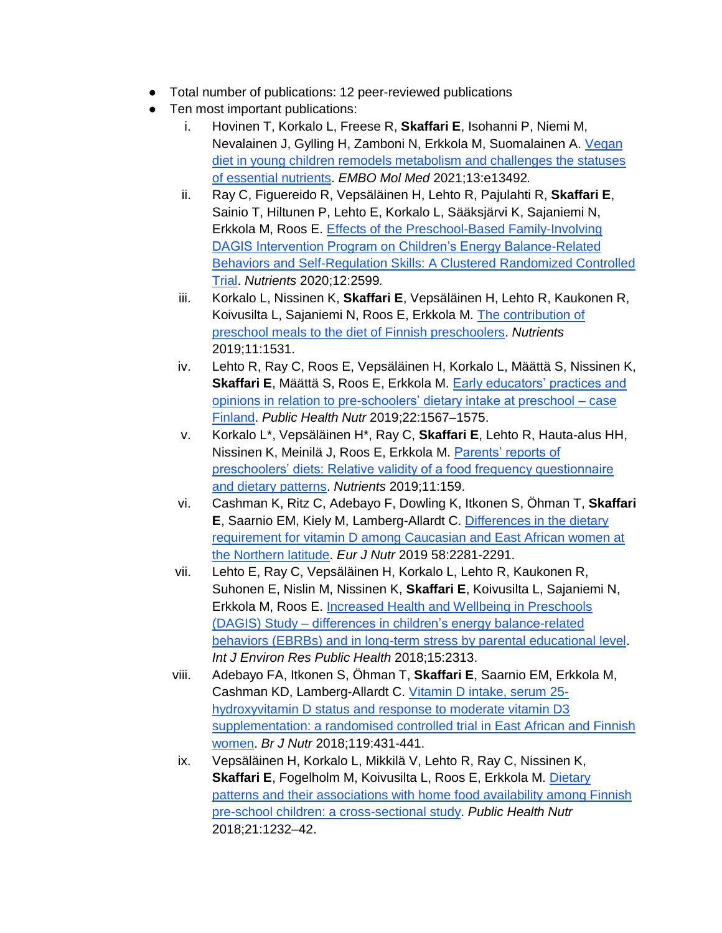- Total number of publications: 12 peer-reviewed publications
- Ten most important publications:
	- i. Hovinen T, Korkalo L, Freese R, **Skaffari E**, Isohanni P, Niemi M, Nevalainen J, Gylling H, Zamboni N, Erkkola M, Suomalainen A. [Vegan](https://www.embopress.org/doi/full/10.15252/emmm.202013492)  [diet in young children remodels metabolism and challenges the statuses](https://www.embopress.org/doi/full/10.15252/emmm.202013492)  [of essential nutrients.](https://www.embopress.org/doi/full/10.15252/emmm.202013492) *EMBO Mol Med* 2021;13:e13492*.*
	- ii. Ray C, Figuereido R, Vepsäläinen H, Lehto R, Pajulahti R, **Skaffari E**, Sainio T, Hiltunen P, Lehto E, Korkalo L, Sääksjärvi K, Sajaniemi N, Erkkola M, Roos E. [Effects of the Preschool-Based Family-Involving](https://www.mdpi.com/2072-6643/12/9/2599)  [DAGIS Intervention Program on Children's Energy Balance-Related](https://www.mdpi.com/2072-6643/12/9/2599)  [Behaviors and Self-Regulation Skills: A Clustered Randomized Controlled](https://www.mdpi.com/2072-6643/12/9/2599)  [Trial.](https://www.mdpi.com/2072-6643/12/9/2599) *Nutrients* 2020;12:2599*.*
	- iii. Korkalo L, Nissinen K, **Skaffari E**, Vepsäläinen H, Lehto R, Kaukonen R, Koivusilta L, Sajaniemi N, Roos E, Erkkola M. [The contribution of](https://www.mdpi.com/2072-6643/11/7/1531)  [preschool meals to the diet of Finnish preschoolers.](https://www.mdpi.com/2072-6643/11/7/1531) *Nutrients* 2019;11:1531.
	- iv. Lehto R, Ray C, Roos E, Vepsäläinen H, Korkalo L, Määttä S, Nissinen K, **Skaffari E**, Määttä S, Roos E, Erkkola M. [Early educators' practices and](https://www.cambridge.org/core/journals/public-health-nutrition/article/early-educators-practices-and-opinions-in-relation-to-preschoolers-dietary-intake-at-preschool-case-finland/125628ECE10763FD52C6EFF1B23E6A6A)  [opinions in relation to pre-schoolers' dietary intake at preschool –](https://www.cambridge.org/core/journals/public-health-nutrition/article/early-educators-practices-and-opinions-in-relation-to-preschoolers-dietary-intake-at-preschool-case-finland/125628ECE10763FD52C6EFF1B23E6A6A) case [Finland.](https://www.cambridge.org/core/journals/public-health-nutrition/article/early-educators-practices-and-opinions-in-relation-to-preschoolers-dietary-intake-at-preschool-case-finland/125628ECE10763FD52C6EFF1B23E6A6A) *Public Health Nutr* 2019;22:1567–1575.
	- v. Korkalo L\*, Vepsäläinen H\*, Ray C, **Skaffari E**, Lehto R, Hauta-alus HH, Nissinen K, Meinilä J, Roos E, Erkkola M. [Parents' reports of](https://www.mdpi.com/2072-6643/11/1/159)  [preschoolers' diets: Relative validity of a food frequency questionnaire](https://www.mdpi.com/2072-6643/11/1/159)  [and dietary patterns.](https://www.mdpi.com/2072-6643/11/1/159) *Nutrients* 2019;11:159.
	- vi. Cashman K, Ritz C, Adebayo F, Dowling K, Itkonen S, Öhman T, **Skaffari E**, Saarnio EM, Kiely M, Lamberg-Allardt C. [Differences in the dietary](https://link.springer.com/article/10.1007/s00394-018-1775-1)  [requirement for vitamin D among Caucasian and East African women at](https://link.springer.com/article/10.1007/s00394-018-1775-1)  [the Northern latitude.](https://link.springer.com/article/10.1007/s00394-018-1775-1) *Eur J Nutr* 2019 58:2281-2291.
	- vii. Lehto E, Ray C, Vepsäläinen H, Korkalo L, Lehto R, Kaukonen R, Suhonen E, Nislin M, Nissinen K, **Skaffari E**, Koivusilta L, Sajaniemi N, Erkkola M, Roos E. [Increased Health and Wellbeing in Preschools](https://www.mdpi.com/1660-4601/15/10/2313)  (DAGIS) Study – [differences in children's energy balance-related](https://www.mdpi.com/1660-4601/15/10/2313)  [behaviors \(EBRBs\) and in long-term stress by parental educational level.](https://www.mdpi.com/1660-4601/15/10/2313) *Int J Environ Res Public Health* 2018;15:2313.
	- viii. Adebayo FA, Itkonen S, Öhman T, **Skaffari E**, Saarnio EM, Erkkola M, Cashman KD, Lamberg-Allardt C. [Vitamin D intake, serum 25](https://www.cambridge.org/core/journals/british-journal-of-nutrition/article/vitamin-d-intake-serum-25hydroxyvitamin-d-status-and-response-to-moderate-vitamin-d3-supplementation-a-randomised-controlled-trial-in-east-african-and-finnish-women/1E3C68F387C718675495EB92D61F0D46) [hydroxyvitamin D status and response to moderate vitamin D3](https://www.cambridge.org/core/journals/british-journal-of-nutrition/article/vitamin-d-intake-serum-25hydroxyvitamin-d-status-and-response-to-moderate-vitamin-d3-supplementation-a-randomised-controlled-trial-in-east-african-and-finnish-women/1E3C68F387C718675495EB92D61F0D46)  [supplementation: a randomised controlled trial in East African and Finnish](https://www.cambridge.org/core/journals/british-journal-of-nutrition/article/vitamin-d-intake-serum-25hydroxyvitamin-d-status-and-response-to-moderate-vitamin-d3-supplementation-a-randomised-controlled-trial-in-east-african-and-finnish-women/1E3C68F387C718675495EB92D61F0D46)  [women.](https://www.cambridge.org/core/journals/british-journal-of-nutrition/article/vitamin-d-intake-serum-25hydroxyvitamin-d-status-and-response-to-moderate-vitamin-d3-supplementation-a-randomised-controlled-trial-in-east-african-and-finnish-women/1E3C68F387C718675495EB92D61F0D46) *Br J Nutr* 2018;119:431-441.
	- ix. Vepsäläinen H, Korkalo L, Mikkilä V, Lehto R, Ray C, Nissinen K, **Skaffari E**, Fogelholm M, Koivusilta L, Roos E, Erkkola M. [Dietary](https://www.cambridge.org/core/journals/public-health-nutrition/article/dietary-patterns-and-their-associations-with-home-food-availability-among-finnish-preschool-children-a-crosssectional-study/D9824681C29DB346AA36B7A5E63BD0A2)  [patterns and their associations with home food availability among Finnish](https://www.cambridge.org/core/journals/public-health-nutrition/article/dietary-patterns-and-their-associations-with-home-food-availability-among-finnish-preschool-children-a-crosssectional-study/D9824681C29DB346AA36B7A5E63BD0A2)  [pre-school children: a cross-sectional study.](https://www.cambridge.org/core/journals/public-health-nutrition/article/dietary-patterns-and-their-associations-with-home-food-availability-among-finnish-preschool-children-a-crosssectional-study/D9824681C29DB346AA36B7A5E63BD0A2) *Public Health Nutr* 2018;21:1232–42.